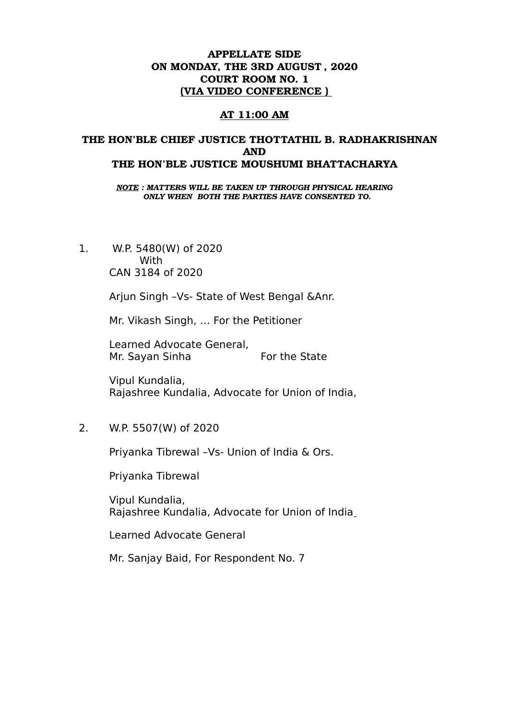## APPELLATE SIDE ON MONDAY, THE 3RD AUGUST , 2020 COURT ROOM NO. 1 (VIA VIDEO CONFERENCE )

### AT 11:00 AM

## THE HON'BLE CHIEF JUSTICE THOTTATHIL B. RADHAKRISHNAN AND THE HON'BLE JUSTICE MOUSHUMI BHATTACHARYA

*NOTE : MATTERS WILL BE TAKEN UP THROUGH PHYSICAL HEARING ONLY WHEN BOTH THE PARTIES HAVE CONSENTED TO.*

1. W.P. 5480(W) of 2020 **With** CAN 3184 of 2020

Arjun Singh –Vs- State of West Bengal &Anr.

Mr. Vikash Singh, … For the Petitioner

Learned Advocate General, Mr. Sayan Sinha For the State

Vipul Kundalia, Rajashree Kundalia, Advocate for Union of India,

2. W.P. 5507(W) of 2020

Priyanka Tibrewal –Vs- Union of India & Ors.

Priyanka Tibrewal

Vipul Kundalia, Rajashree Kundalia, Advocate for Union of India

Learned Advocate General

Mr. Sanjay Baid, For Respondent No. 7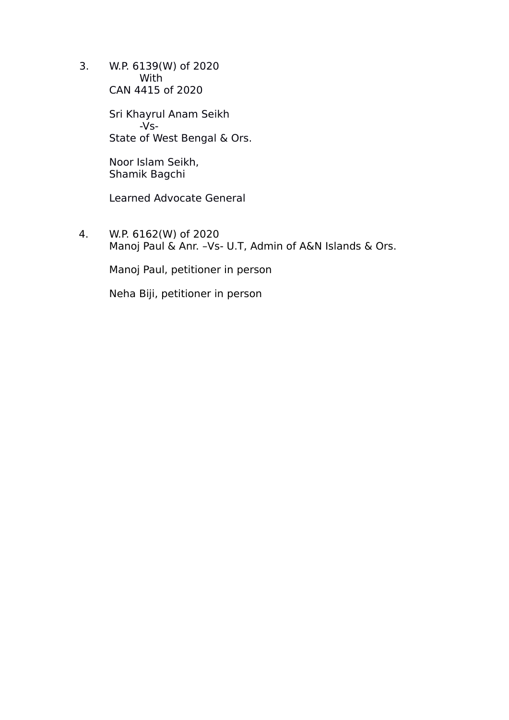3. W.P. 6139(W) of 2020 With CAN 4415 of 2020

> Sri Khayrul Anam Seikh -Vs-State of West Bengal & Ors.

Noor Islam Seikh, Shamik Bagchi

Learned Advocate General

4. W.P. 6162(W) of 2020 Manoj Paul & Anr. –Vs- U.T, Admin of A&N Islands & Ors.

Manoj Paul, petitioner in person

Neha Biji, petitioner in person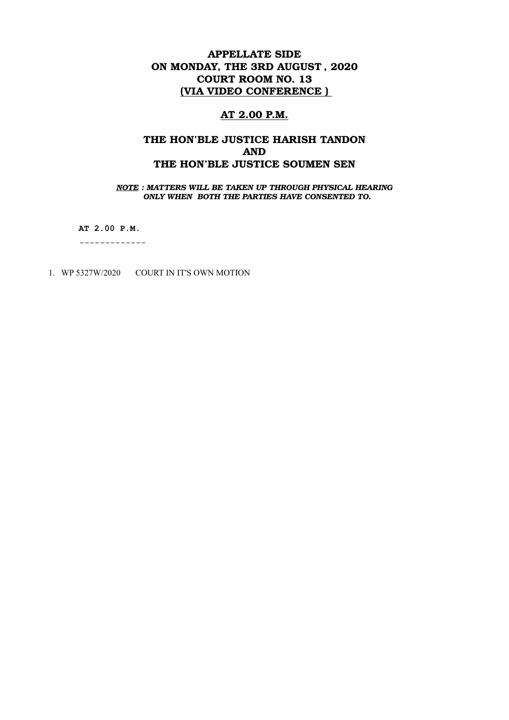# APPELLATE SIDE ON MONDAY, THE 3RD AUGUST , 2020 COURT ROOM NO. 13 (VIA VIDEO CONFERENCE )

### AT 2.00 P.M.

## THE HON'BLE JUSTICE HARISH TANDON AND THE HON'BLE JUSTICE SOUMEN SEN

*NOTE : MATTERS WILL BE TAKEN UP THROUGH PHYSICAL HEARING ONLY WHEN BOTH THE PARTIES HAVE CONSENTED TO.*

**AT 2.00 P.M.**

-------------

1. WP 5327W/2020 COURT IN IT'S OWN MOTION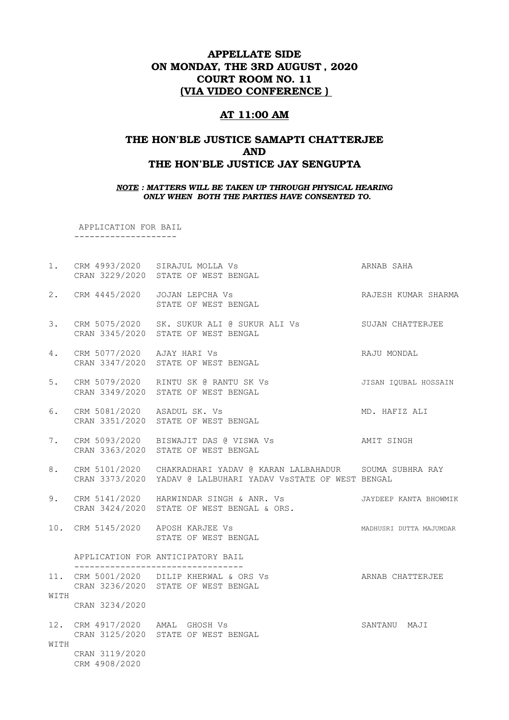### APPELLATE SIDE ON MONDAY, THE 3RD AUGUST , 2020 COURT ROOM NO. 11 (VIA VIDEO CONFERENCE )

#### AT 11:00 AM

### THE HON'BLE JUSTICE SAMAPTI CHATTERJEE AND THE HON'BLE JUSTICE JAY SENGUPTA

#### *NOTE : MATTERS WILL BE TAKEN UP THROUGH PHYSICAL HEARING ONLY WHEN BOTH THE PARTIES HAVE CONSENTED TO.*

APPLICATION FOR BAIL

--------------------

- 1. CRM 4993/2020 SIRAJUL MOLLA Vs ARNAB SAHA CRAN 3229/2020 STATE OF WEST BENGAL
- 2. CRM 4445/2020 JOJAN LEPCHA Vs RAJESH KUMAR SHARMA STATE OF WEST BENGAL
- 3. CRM 5075/2020 SK. SUKUR ALI @ SUKUR ALI Vs SUJAN CHATTERJEE CRAN 3345/2020 STATE OF WEST BENGAL
- 4. CRM 5077/2020 AJAY HARI Vs RAJU MONDAL CRAN 3347/2020 STATE OF WEST BENGAL
- 5. CRM 5079/2020 RINTU SK @ RANTU SK Vs JISAN IQUBAL HOSSAIN CRAN 3349/2020 STATE OF WEST BENGAL
- 6. CRM 5081/2020 ASADUL SK. Vs MD. HAFIZ ALI CRAN 3351/2020 STATE OF WEST BENGAL
- 7. CRM 5093/2020 BISWAJIT DAS @ VISWA Vs AMIT SINGH CRAN 3363/2020 STATE OF WEST BENGAL
- 8. CRM 5101/2020 CHAKRADHARI YADAV @ KARAN LALBAHADUR SOUMA SUBHRA RAY CRAN 3373/2020 YADAV @ LALBUHARI YADAV VsSTATE OF WEST BENGAL
- 9. CRM 5141/2020 HARWINDAR SINGH & ANR. Vs **JAYDEEP KANTA BHOWMIK** CRAN 3424/2020 STATE OF WEST BENGAL & ORS.
- 10. CRM 5145/2020 APOSH KARJEE Vs MADHUSRI DUTTA MAJUMDAR STATE OF WEST BENGAL

APPLICATION FOR ANTICIPATORY BAIL

 --------------------------------- 11. CRM 5001/2020 DILIP KHERWAL & ORS Vs ARNAB CHATTERJEE CRAN 3236/2020 STATE OF WEST BENGAL **WITTH** 

CRAN 3234/2020

12. CRM 4917/2020 AMAL GHOSH Vs SANTANU MAJI CRAN 3125/2020 STATE OF WEST BENGAL WITH CRAN 3119/2020

CRM 4908/2020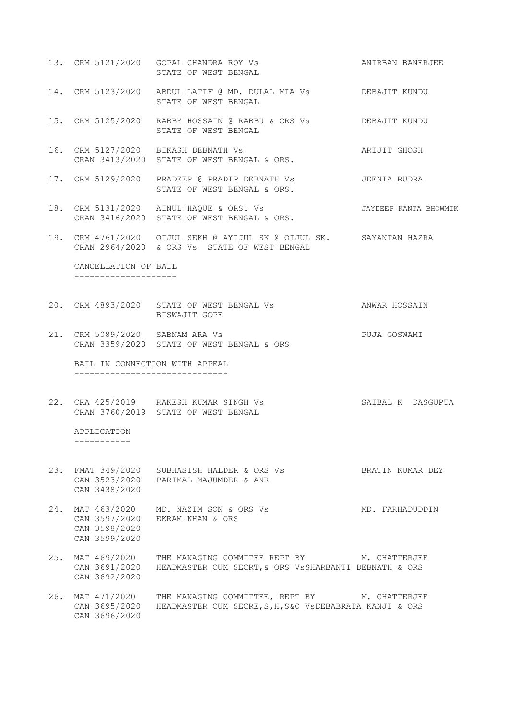- 13. CRM 5121/2020 GOPAL CHANDRA ROY Vs ANIRBAN BANERJEE STATE OF WEST BENGAL
- 14. CRM 5123/2020 ABDUL LATIF @ MD. DULAL MIA Vs DEBAJIT KUNDU STATE OF WEST BENGAL
- 15. CRM 5125/2020 RABBY HOSSAIN @ RABBU & ORS Vs DEBAJIT KUNDU STATE OF WEST BENGAL
- 16. CRM 5127/2020 BIKASH DEBNATH Vs ARIJIT GHOSH CRAN 3413/2020 STATE OF WEST BENGAL & ORS.
- 17. CRM 5129/2020 PRADEEP @ PRADIP DEBNATH Vs JEENIA RUDRA STATE OF WEST BENGAL & ORS.
- 18. CRM 5131/2020 AINUL HAQUE & ORS. Vs JAYDEEP KANTA BHOWMIK CRAN 3416/2020 STATE OF WEST BENGAL & ORS.
- 19. CRM 4761/2020 OIJUL SEKH @ AYIJUL SK @ OIJUL SK. SAYANTAN HAZRA CRAN 2964/2020 & ORS Vs STATE OF WEST BENGAL

 CANCELLATION OF BAIL --------------------

- 20. CRM 4893/2020 STATE OF WEST BENGAL Vs **ANWAR HOSSAIN** BISWAJIT GOPE
- 21. CRM 5089/2020 SABNAM ARA Vs PUJA GOSWAMI CRAN 3359/2020 STATE OF WEST BENGAL & ORS

 BAIL IN CONNECTION WITH APPEAL ------------------------------

22. CRA 425/2019 RAKESH KUMAR SINGH Vs SAIBAL K DASGUPTA CRAN 3760/2019 STATE OF WEST BENGAL

 APPLICATION -----------

- 23. FMAT 349/2020 SUBHASISH HALDER & ORS Vs BRATIN KUMAR DEY CAN 3523/2020 PARIMAL MAJUMDER & ANR CAN 3438/2020
- 24. MAT 463/2020 MD. NAZIM SON & ORS Vs MD. FARHADUDDIN CAN 3597/2020 EKRAM KHAN & ORS CAN 3598/2020 CAN 3599/2020
- 25. MAT 469/2020 THE MANAGING COMMITEE REPT BY M. CHATTERJEE CAN 3691/2020 HEADMASTER CUM SECRT,& ORS VsSHARBANTI DEBNATH & ORS CAN 3692/2020
- 26. MAT 471/2020 THE MANAGING COMMITTEE, REPT BY M. CHATTERJEE CAN 3695/2020 HEADMASTER CUM SECRE,S,H,S&O VsDEBABRATA KANJI & ORS CAN 3696/2020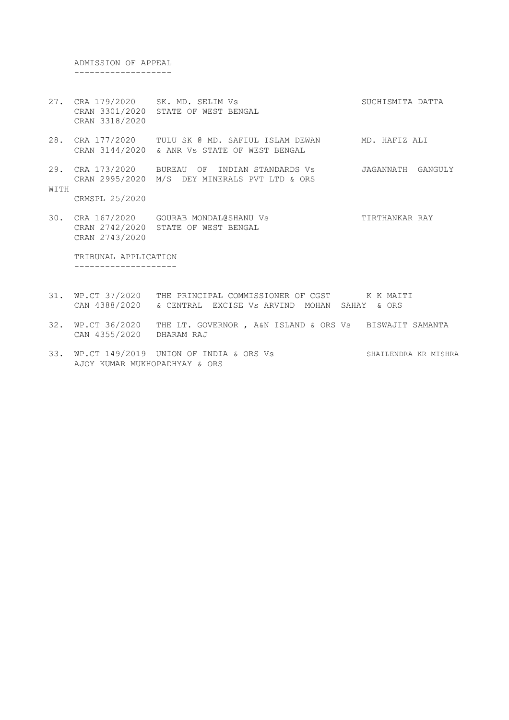ADMISSION OF APPEAL -------------------

- 27. CRA 179/2020 SK. MD. SELIM Vs SUCHISMITA DATTA CRAN 3301/2020 STATE OF WEST BENGAL CRAN 3318/2020
- 28. CRA 177/2020 TULU SK @ MD. SAFIUL ISLAM DEWAN MD. HAFIZ ALI CRAN 3144/2020 & ANR Vs STATE OF WEST BENGAL
- 29. CRA 173/2020 BUREAU OF INDIAN STANDARDS Vs JAGANNATH GANGULY CRAN 2995/2020 M/S DEY MINERALS PVT LTD & ORS WITH

CRMSPL 25/2020

30. CRA 167/2020 GOURAB MONDAL@SHANU Vs TIRTHANKAR RAY CRAN 2742/2020 STATE OF WEST BENGAL CRAN 2743/2020

 TRIBUNAL APPLICATION --------------------

- 31. WP.CT 37/2020 THE PRINCIPAL COMMISSIONER OF CGST K K MAITI CAN 4388/2020 & CENTRAL EXCISE Vs ARVIND MOHAN SAHAY & ORS
- 32. WP.CT 36/2020 THE LT. GOVERNOR , A&N ISLAND & ORS Vs BISWAJIT SAMANTA CAN 4355/2020 DHARAM RAJ
- 33. WP.CT 149/2019 UNION OF INDIA & ORS Vs SHAILENDRA KR MISHRA AJOY KUMAR MUKHOPADHYAY & ORS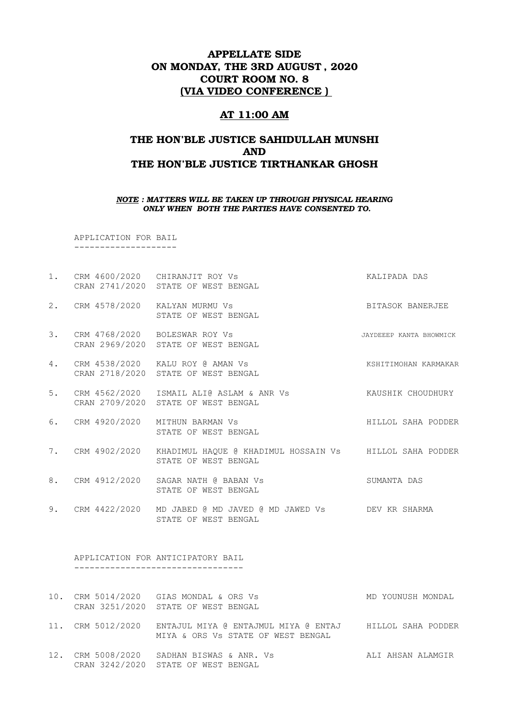### APPELLATE SIDE ON MONDAY, THE 3RD AUGUST , 2020 COURT ROOM NO. 8 (VIA VIDEO CONFERENCE )

#### AT 11:00 AM

## THE HON'BLE JUSTICE SAHIDULLAH MUNSHI AND THE HON'BLE JUSTICE TIRTHANKAR GHOSH

#### *NOTE : MATTERS WILL BE TAKEN UP THROUGH PHYSICAL HEARING ONLY WHEN BOTH THE PARTIES HAVE CONSENTED TO.*

 APPLICATION FOR BAIL --------------------

- 1. CRM 4600/2020 CHIRANJIT ROY Vs **KALIPADA DAS** CRAN 2741/2020 STATE OF WEST BENGAL
- 2. CRM 4578/2020 KALYAN MURMU Vs BITASOK BANERJEE STATE OF WEST BENGAL
- 3. CRM 4768/2020 BOLESWAR ROY Vs JAYDEEEP KANTA BHOWMICK CRAN 2969/2020 STATE OF WEST BENGAL
- 4. CRM 4538/2020 KALU ROY @ AMAN Vs KSHITIMOHAN KARMAKAR CRAN 2718/2020 STATE OF WEST BENGAL
- 5. CRM 4562/2020 ISMAIL ALI@ ASLAM & ANR Vs KAUSHIK CHOUDHURY CRAN 2709/2020 STATE OF WEST BENGAL
- 6. CRM 4920/2020 MITHUN BARMAN Vs Sand Control Communications and HILLOL SAHA PODDER STATE OF WEST BENGAL
- 7. CRM 4902/2020 KHADIMUL HAQUE @ KHADIMUL HOSSAIN Vs HILLOL SAHA PODDER STATE OF WEST BENGAL
- 8. CRM 4912/2020 SAGAR NATH @ BABAN Vs SUMANTA DAS STATE OF WEST BENGAL
- 9. CRM 4422/2020 MD JABED @ MD JAVED @ MD JAWED Vs DEV KR SHARMA STATE OF WEST BENGAL

 APPLICATION FOR ANTICIPATORY BAIL ---------------------------------

- 10. CRM 5014/2020 GIAS MONDAL & ORS Vs MD YOUNUSH MONDAL CRAN 3251/2020 STATE OF WEST BENGAL
- 11. CRM 5012/2020 ENTAJUL MIYA @ ENTAJMUL MIYA @ ENTAJ HILLOL SAHA PODDER MIYA & ORS Vs STATE OF WEST BENGAL
- 12. CRM 5008/2020 SADHAN BISWAS & ANR. Vs ALI AHSAN ALAMGIR CRAN 3242/2020 STATE OF WEST BENGAL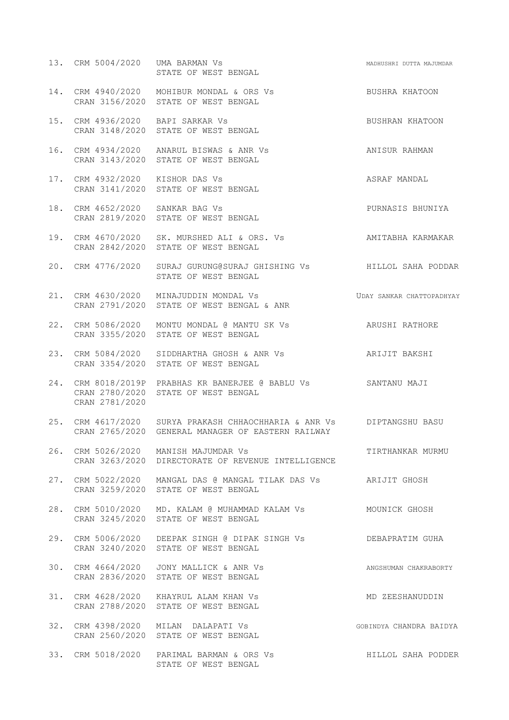|  | 13. CRM 5004/2020                | UMA BARMAN Vs<br>STATE OF WEST BENGAL                                                                                      | MADHUSHRI DUTTA MAJUMDAR  |
|--|----------------------------------|----------------------------------------------------------------------------------------------------------------------------|---------------------------|
|  |                                  | 14. CRM 4940/2020 MOHIBUR MONDAL & ORS Vs BUSHRA KHATOON<br>CRAN 3156/2020 STATE OF WEST BENGAL                            |                           |
|  |                                  | 15. CRM 4936/2020 BAPI SARKAR Vs<br>CRAN 3148/2020 STATE OF WEST BENGAL                                                    | BUSHRAN KHATOON           |
|  |                                  | 16. CRM 4934/2020 ANARUL BISWAS & ANR Vs<br>CRAN 3143/2020 STATE OF WEST BENGAL                                            | ANISUR RAHMAN             |
|  | 17. CRM 4932/2020 KISHOR DAS Vs  | CRAN 3141/2020 STATE OF WEST BENGAL                                                                                        | ASRAF MANDAL              |
|  | 18. CRM 4652/2020 SANKAR BAG Vs  | CRAN 2819/2020 STATE OF WEST BENGAL                                                                                        | PURNASIS BHUNIYA          |
|  |                                  | 19. CRM 4670/2020 SK. MURSHED ALI & ORS. Vs AMITABHA KARMAKAR<br>CRAN 2842/2020 STATE OF WEST BENGAL                       |                           |
|  |                                  | 20. CRM 4776/2020 SURAJ GURUNG@SURAJ GHISHING Vs THILLOL SAHA PODDAR<br>STATE OF WEST BENGAL                               |                           |
|  |                                  | 21. CRM 4630/2020 MINAJUDDIN MONDAL Vs<br>CRAN 2791/2020 STATE OF WEST BENGAL & ANR                                        | UDAY SANKAR CHATTOPADHYAY |
|  |                                  | 22. CRM 5086/2020 MONTU MONDAL @ MANTU SK Vs ARUSHI RATHORE<br>CRAN 3355/2020 STATE OF WEST BENGAL                         |                           |
|  |                                  | 23. CRM 5084/2020 SIDDHARTHA GHOSH & ANR Vs ARIJIT BAKSHI<br>CRAN 3354/2020 STATE OF WEST BENGAL                           |                           |
|  | CRAN 2780/2020<br>CRAN 2781/2020 | 24. CRM 8018/2019P PRABHAS KR BANERJEE @ BABLU Vs SANTANU MAJI<br>STATE OF WEST BENGAL                                     |                           |
|  |                                  | 25. CRM 4617/2020 SURYA PRAKASH CHHAOCHHARIA & ANR Vs DIPTANGSHU BASU<br>CRAN 2765/2020 GENERAL MANAGER OF EASTERN RAILWAY |                           |
|  |                                  | 26. CRM 5026/2020 MANISH MAJUMDAR Vs<br>CRAN 3263/2020 DIRECTORATE OF REVENUE INTELLIGENCE                                 | TIRTHANKAR MURMU          |
|  |                                  | 27. CRM 5022/2020 MANGAL DAS @ MANGAL TILAK DAS Vs ARIJIT GHOSH<br>CRAN 3259/2020 STATE OF WEST BENGAL                     |                           |
|  |                                  | 28. CRM 5010/2020 MD. KALAM @ MUHAMMAD KALAM Vs MOUNICK GHOSH<br>CRAN 3245/2020 STATE OF WEST BENGAL                       |                           |
|  |                                  | 29. CRM 5006/2020 DEEPAK SINGH @ DIPAK SINGH Vs                 DEBAPRATIM GUHA<br>CRAN 3240/2020 STATE OF WEST BENGAL     |                           |
|  |                                  | 30. CRM 4664/2020 JONY MALLICK & ANR Vs<br>CRAN 2836/2020 STATE OF WEST BENGAL                                             | ANGSHUMAN CHAKRABORTY     |
|  |                                  | 31. CRM 4628/2020 KHAYRUL ALAM KHAN Vs<br>CRAN 2788/2020 STATE OF WEST BENGAL                                              | MD ZEESHANUDDIN           |
|  |                                  | 32. CRM 4398/2020 MILAN DALAPATI Vs<br>CRAN 2560/2020 STATE OF WEST BENGAL                                                 | GOBINDYA CHANDRA BAIDYA   |
|  |                                  | 33. CRM 5018/2020 PARIMAL BARMAN & ORS Vs<br>STATE OF WEST BENGAL                                                          | HILLOL SAHA PODDER        |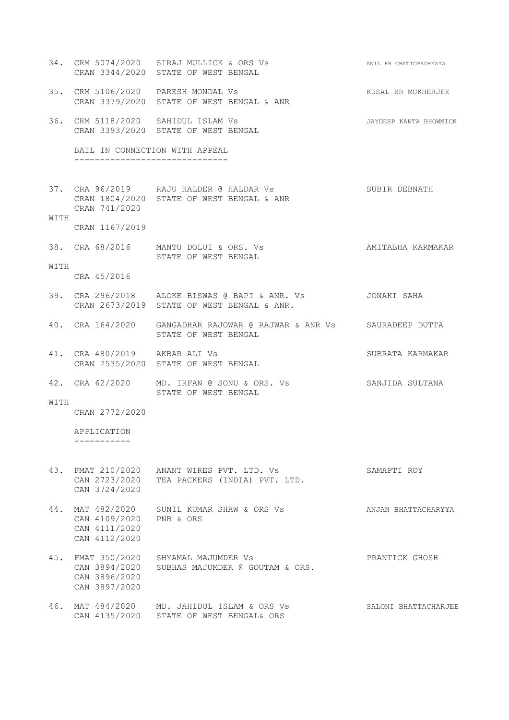|      |                                                                   | 34. CRM 5074/2020 SIRAJ MULLICK & ORS Vs<br>CRAN 3344/2020 STATE OF WEST BENGAL              | ANIL KR CHATTOPADHYAYA |
|------|-------------------------------------------------------------------|----------------------------------------------------------------------------------------------|------------------------|
|      |                                                                   | 35. CRM 5106/2020 PARESH MONDAL Vs<br>CRAN 3379/2020 STATE OF WEST BENGAL & ANR              | KUSAL KR MUKHERJEE     |
|      |                                                                   | 36. CRM 5118/2020 SAHIDUL ISLAM Vs<br>CRAN 3393/2020 STATE OF WEST BENGAL                    | JAYDEEP KANTA BHOWMICK |
|      | BAIL IN CONNECTION WITH APPEAL<br>------------------------------- |                                                                                              |                        |
|      | CRAN 741/2020                                                     | 37. CRA 96/2019 RAJU HALDER @ HALDAR Vs<br>CRAN 1804/2020 STATE OF WEST BENGAL & ANR         | SUBIR DEBNATH          |
| WITH | CRAN 1167/2019                                                    |                                                                                              |                        |
|      |                                                                   | 38. CRA 68/2016 MANTU DOLUI & ORS. Vs<br>STATE OF WEST BENGAL                                | AMITABHA KARMAKAR      |
| WITH | CRA 45/2016                                                       |                                                                                              |                        |
|      |                                                                   | 39. CRA 296/2018 ALOKE BISWAS @ BAPI & ANR. Vs<br>CRAN 2673/2019 STATE OF WEST BENGAL & ANR. | JONAKI SAHA            |
|      |                                                                   | 40. CRA 164/2020 GANGADHAR RAJOWAR @ RAJWAR & ANR Vs SAURADEEP DUTTA<br>STATE OF WEST BENGAL |                        |
|      | 41. CRA 480/2019 AKBAR ALI Vs                                     | CRAN 2535/2020 STATE OF WEST BENGAL                                                          | SUBRATA KARMAKAR       |
|      |                                                                   | 42. CRA 62/2020 MD. IRFAN @ SONU & ORS. Vs<br>STATE OF WEST BENGAL                           | SANJIDA SULTANA        |
| WITH | CRAN 2772/2020                                                    |                                                                                              |                        |
|      | APPLICATION                                                       |                                                                                              |                        |
|      | CAN 3724/2020                                                     | 43. FMAT 210/2020 ANANT WIRES PVT. LTD. Vs<br>CAN 2723/2020 TEA PACKERS (INDIA) PVT. LTD.    | SAMAPTI ROY            |
| 44.  | CAN 4109/2020 PNB & ORS<br>CAN 4111/2020<br>CAN 4112/2020         | MAT 482/2020 SUNIL KUMAR SHAW & ORS Vs                                                       | ANJAN BHATTACHARYYA    |
|      | CAN 3896/2020<br>CAN 3897/2020                                    | 45. FMAT 350/2020 SHYAMAL MAJUMDER Vs<br>CAN 3894/2020 SUBHAS MAJUMDER @ GOUTAM & ORS.       | PRANTICK GHOSH         |
|      | CAN 4135/2020                                                     | 46. MAT 484/2020 MD. JAHIDUL ISLAM & ORS Vs<br>STATE OF WEST BENGAL& ORS                     | SALONI BHATTACHARJEE   |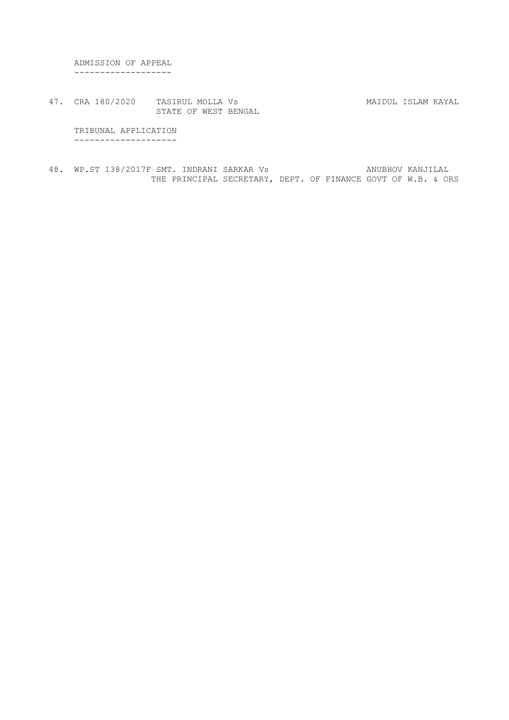ADMISSION OF APPEAL -------------------

47. CRA 180/2020 TASIRUL MOLLA Vs MAIDUL ISLAM KAYAL STATE OF WEST BENGAL

 TRIBUNAL APPLICATION --------------------

48. WP.ST 138/2017F SMT. INDRANI SARKAR Vs ANUBHOV KANJILAL THE PRINCIPAL SECRETARY, DEPT. OF FINANCE GOVT OF W.B. & ORS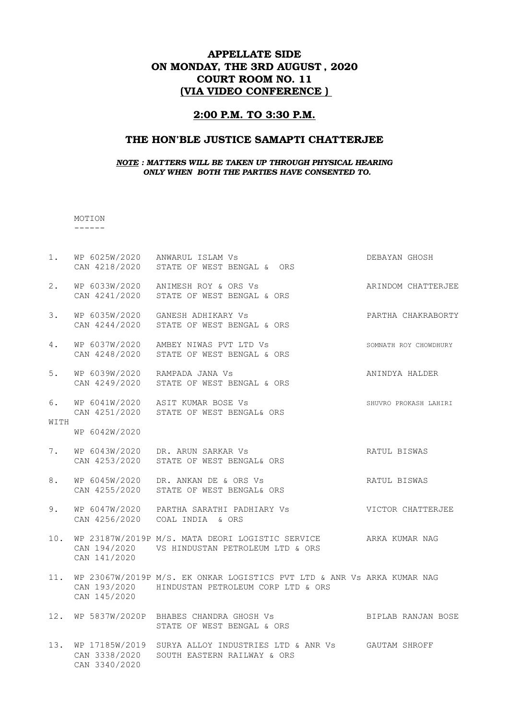# APPELLATE SIDE ON MONDAY, THE 3RD AUGUST , 2020 COURT ROOM NO. 11 (VIA VIDEO CONFERENCE )

#### 2:00 P.M. TO 3:30 P.M.

### THE HON'BLE JUSTICE SAMAPTI CHATTERJEE

#### *NOTE : MATTERS WILL BE TAKEN UP THROUGH PHYSICAL HEARING ONLY WHEN BOTH THE PARTIES HAVE CONSENTED TO.*

### MOTION

------

| $1$ . |                                | WP 6025W/2020 ANWARUL ISLAM Vs<br>CAN 4218/2020 STATE OF WEST BENGAL & ORS                                                 | DEBAYAN GHOSH         |
|-------|--------------------------------|----------------------------------------------------------------------------------------------------------------------------|-----------------------|
| 2.    |                                | WP 6033W/2020 ANIMESH ROY & ORS Vs<br>CAN 4241/2020 STATE OF WEST BENGAL & ORS                                             | ARINDOM CHATTERJEE    |
| 3.    |                                | WP 6035W/2020 GANESH ADHIKARY Vs<br>CAN 4244/2020 STATE OF WEST BENGAL & ORS                                               | PARTHA CHAKRABORTY    |
| 4.    |                                | WP 6037W/2020 AMBEY NIWAS PVT LTD Vs<br>CAN 4248/2020 STATE OF WEST BENGAL & ORS                                           | SOMNATH ROY CHOWDHURY |
| 5.    | WP 6039W/2020 RAMPADA JANA Vs  | CAN 4249/2020 STATE OF WEST BENGAL & ORS                                                                                   | ANINDYA HALDER        |
| 6.    |                                | WP 6041W/2020 ASIT KUMAR BOSE Vs<br>CAN 4251/2020 STATE OF WEST BENGAL& ORS                                                | SHUVRO PROKASH LAHIRI |
| WITH  | WP 6042W/2020                  |                                                                                                                            |                       |
| 7.    |                                | WP 6043W/2020 DR. ARUN SARKAR Vs<br>CAN 4253/2020 STATE OF WEST BENGAL& ORS                                                | RATUL BISWAS          |
| 8.    |                                | WP 6045W/2020 DR. ANKAN DE & ORS Vs<br>CAN 4255/2020 STATE OF WEST BENGAL& ORS                                             | RATUL BISWAS          |
| 9.    |                                | WP 6047W/2020 PARTHA SARATHI PADHIARY Vs<br>CAN 4256/2020 COAL INDIA & ORS                                                 | VICTOR CHATTERJEE     |
| 10.   | CAN 141/2020                   | WP 23187W/2019P M/S. MATA DEORI LOGISTIC SERVICE<br>CAN 194/2020  VS HINDUSTAN PETROLEUM LTD & ORS                         | ARKA KUMAR NAG        |
| 11.   | CAN 145/2020                   | WP 23067W/2019P M/S. EK ONKAR LOGISTICS PVT LTD & ANR Vs ARKA KUMAR NAG<br>CAN 193/2020 HINDUSTAN PETROLEUM CORP LTD & ORS |                       |
|       |                                | 12. WP 5837W/2020P BHABES CHANDRA GHOSH Vs<br>STATE OF WEST BENGAL & ORS                                                   | BIPLAB RANJAN BOSE    |
|       | CAN 3338/2020<br>CAN 3340/2020 | 13. WP 17185W/2019 SURYA ALLOY INDUSTRIES LTD & ANR Vs GAUTAM SHROFF<br>SOUTH EASTERN RAILWAY & ORS                        |                       |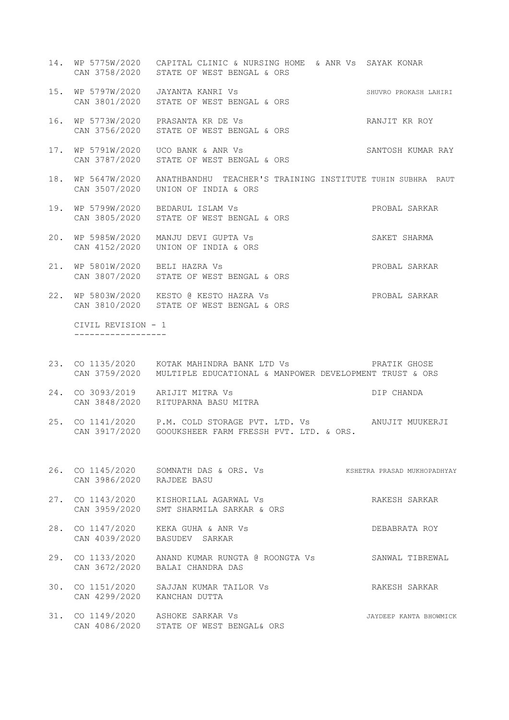- 14. WP 5775W/2020 CAPITAL CLINIC & NURSING HOME & ANR Vs SAYAK KONAR CAN 3758/2020 STATE OF WEST BENGAL & ORS
- 15. WP 5797W/2020 JAYANTA KANRI Vs SHUVRO PROKASH LAHIRI CAN 3801/2020 STATE OF WEST BENGAL & ORS
- 16. WP 5773W/2020 PRASANTA KR DE Vs RANJIT KR ROY CAN 3756/2020 STATE OF WEST BENGAL & ORS
- 17. WP 5791W/2020 UCO BANK & ANR Vs SANTOSH KUMAR RAY CAN 3787/2020 STATE OF WEST BENGAL & ORS
- 18. WP 5647W/2020 ANATHBANDHU TEACHER'S TRAINING INSTITUTE TUHIN SUBHRA RAUT CAN 3507/2020 UNION OF INDIA & ORS
- 19. WP 5799W/2020 BEDARUL ISLAM Vs PROBAL SARKAR CAN 3805/2020 STATE OF WEST BENGAL & ORS
- 20. WP 5985W/2020 MANJU DEVI GUPTA Vs SAKET SHARMA CAN 4152/2020 UNION OF INDIA & ORS
- 21. WP 5801W/2020 BELI HAZRA Vs **PROBAL SARKAR** CAN 3807/2020 STATE OF WEST BENGAL & ORS
- 22. WP 5803W/2020 KESTO @ KESTO HAZRA Vs PROBAL SARKAR CAN 3810/2020 STATE OF WEST BENGAL & ORS

 CIVIL REVISION - 1 ------------------

- 23. CO 1135/2020 KOTAK MAHINDRA BANK LTD Vs PRATIK GHOSE CAN 3759/2020 MULTIPLE EDUCATIONAL & MANPOWER DEVELOPMENT TRUST & ORS
- 24. CO 3093/2019 ARIJIT MITRA Vs DIP CHANDA CAN 3848/2020 RITUPARNA BASU MITRA
- 25. CO 1141/2020 P.M. COLD STORAGE PVT. LTD. Vs ANUJIT MUUKERJI CAN 3917/2020 GOOUKSHEER FARM FRESSH PVT. LTD. & ORS.
- 26. CO 1145/2020 SOMNATH DAS & ORS. Vs KSHETRA PRASAD MUKHOPADHYAY CAN 3986/2020 RAJDEE BASU
- 27. CO 1143/2020 KISHORILAL AGARWAL Vs RAKESH SARKAR CAN 3959/2020 SMT SHARMILA SARKAR & ORS
- 28. CO 1147/2020 KEKA GUHA & ANR Vs DEBABRATA ROY CAN 4039/2020 BASUDEV SARKAR
	- 29. CO 1133/2020 ANAND KUMAR RUNGTA @ ROONGTA Vs SANWAL TIBREWAL CAN 3672/2020 BALAI CHANDRA DAS
	- 30. CO 1151/2020 SAJJAN KUMAR TAILOR Vs RAKESH SARKAR CAN 4299/2020 KANCHAN DUTTA
	- 31. CO 1149/2020 ASHOKE SARKAR Vs 31. JAYDEEP KANTA BHOWMICK CAN 4086/2020 STATE OF WEST BENGAL& ORS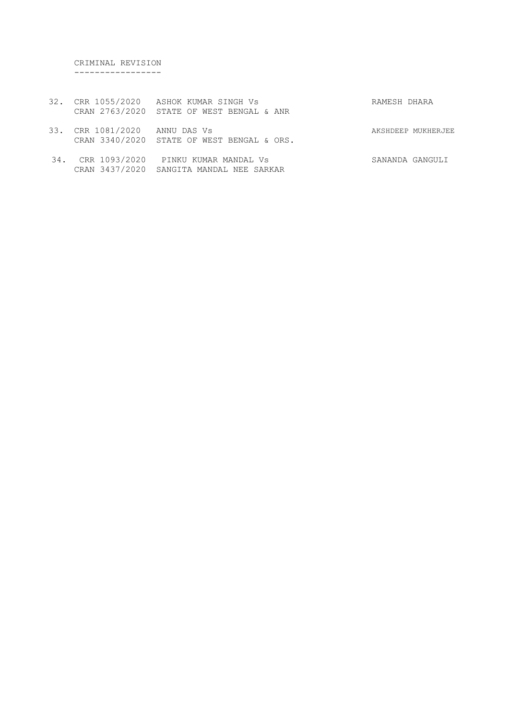CRIMINAL REVISION -----------------

- 32. CRR 1055/2020 ASHOK KUMAR SINGH Vs RAMESH DHARA CRAN 2763/2020 STATE OF WEST BENGAL & ANR
- 33. CRR 1081/2020 ANNU DAS Vs AKSHDEEP MUKHERJEE CRAN 3340/2020 STATE OF WEST BENGAL & ORS.
- 34. CRR 1093/2020 PINKU KUMAR MANDAL Vs SANANDA GANGULI CRAN 3437/2020 SANGITA MANDAL NEE SARKAR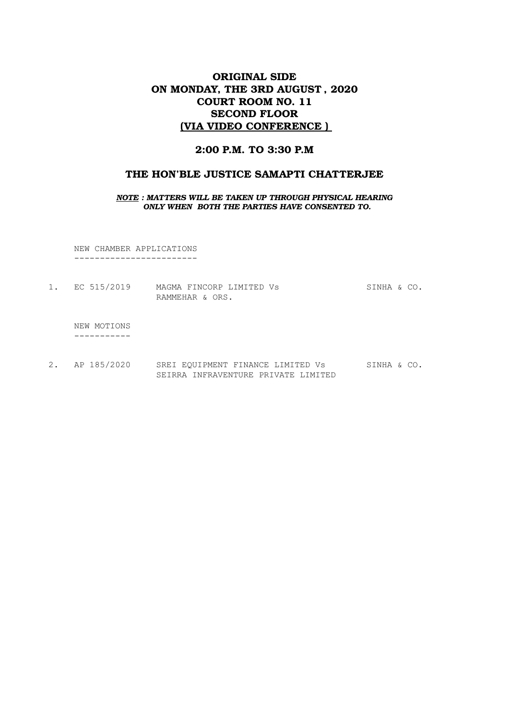## ORIGINAL SIDE ON MONDAY, THE 3RD AUGUST , 2020 COURT ROOM NO. 11 SECOND FLOOR (VIA VIDEO CONFERENCE )

### 2:00 P.M. TO 3:30 P.M

#### THE HON'BLE JUSTICE SAMAPTI CHATTERJEE

#### *NOTE : MATTERS WILL BE TAKEN UP THROUGH PHYSICAL HEARING ONLY WHEN BOTH THE PARTIES HAVE CONSENTED TO.*

NEW CHAMBER APPLICATIONS ------------------------

1. EC 515/2019 MAGMA FINCORP LIMITED Vs SINHA & CO. RAMMEHAR & ORS.

 NEW MOTIONS -----------

2. AP 185/2020 SREI EQUIPMENT FINANCE LIMITED Vs SINHA & CO. SEIRRA INFRAVENTURE PRIVATE LIMITED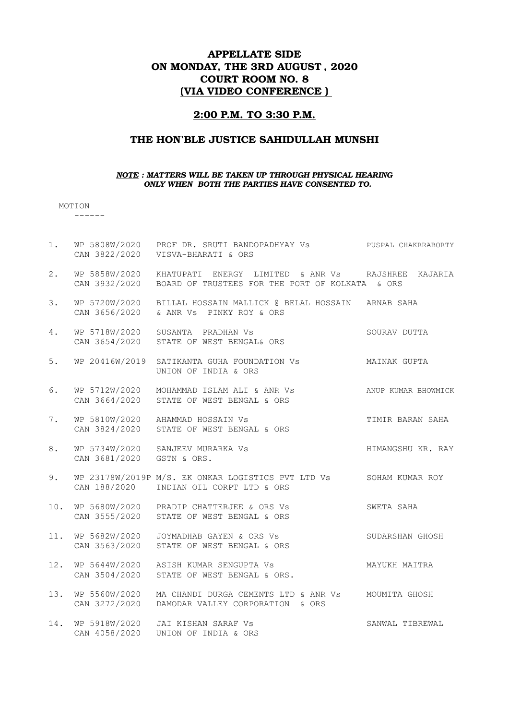# APPELLATE SIDE ON MONDAY, THE 3RD AUGUST , 2020 COURT ROOM NO. 8 (VIA VIDEO CONFERENCE )

#### 2:00 P.M. TO 3:30 P.M.

### THE HON'BLE JUSTICE SAHIDULLAH MUNSHI

#### *NOTE : MATTERS WILL BE TAKEN UP THROUGH PHYSICAL HEARING ONLY WHEN BOTH THE PARTIES HAVE CONSENTED TO.*

MOTION

------

|                                    | WP 5808W/2020 PROF DR. SRUTI BANDOPADHYAY Vs PUSPAL CHAKRRABORTY |                                                                                                                                                                                                                                                                                                                                                                                                                                                                                                                                                                                                                                                                                                                                                                                                                                                                           |
|------------------------------------|------------------------------------------------------------------|---------------------------------------------------------------------------------------------------------------------------------------------------------------------------------------------------------------------------------------------------------------------------------------------------------------------------------------------------------------------------------------------------------------------------------------------------------------------------------------------------------------------------------------------------------------------------------------------------------------------------------------------------------------------------------------------------------------------------------------------------------------------------------------------------------------------------------------------------------------------------|
| WP 5858W/2020<br>CAN 3932/2020     | BOARD OF TRUSTEES FOR THE PORT OF KOLKATA & ORS                  |                                                                                                                                                                                                                                                                                                                                                                                                                                                                                                                                                                                                                                                                                                                                                                                                                                                                           |
| WP 5720W/2020<br>CAN 3656/2020     |                                                                  |                                                                                                                                                                                                                                                                                                                                                                                                                                                                                                                                                                                                                                                                                                                                                                                                                                                                           |
| WP 5718W/2020<br>CAN 3654/2020     | STATE OF WEST BENGAL& ORS                                        | SOURAV DUTTA                                                                                                                                                                                                                                                                                                                                                                                                                                                                                                                                                                                                                                                                                                                                                                                                                                                              |
| WP 20416W/2019                     | UNION OF INDIA & ORS                                             |                                                                                                                                                                                                                                                                                                                                                                                                                                                                                                                                                                                                                                                                                                                                                                                                                                                                           |
| WP 5712W/2020                      |                                                                  | ANUP KUMAR BHOWMICK                                                                                                                                                                                                                                                                                                                                                                                                                                                                                                                                                                                                                                                                                                                                                                                                                                                       |
| CAN 3824/2020                      |                                                                  | TIMIR BARAN SAHA                                                                                                                                                                                                                                                                                                                                                                                                                                                                                                                                                                                                                                                                                                                                                                                                                                                          |
| CAN 3681/2020                      |                                                                  | HIMANGSHU KR. RAY                                                                                                                                                                                                                                                                                                                                                                                                                                                                                                                                                                                                                                                                                                                                                                                                                                                         |
|                                    |                                                                  |                                                                                                                                                                                                                                                                                                                                                                                                                                                                                                                                                                                                                                                                                                                                                                                                                                                                           |
|                                    |                                                                  | SWETA SAHA                                                                                                                                                                                                                                                                                                                                                                                                                                                                                                                                                                                                                                                                                                                                                                                                                                                                |
| 11. WP 5682W/2020<br>CAN 3563/2020 | STATE OF WEST BENGAL & ORS                                       | SUDARSHAN GHOSH                                                                                                                                                                                                                                                                                                                                                                                                                                                                                                                                                                                                                                                                                                                                                                                                                                                           |
| CAN 3504/2020                      | STATE OF WEST BENGAL & ORS.                                      | MAYUKH MAITRA                                                                                                                                                                                                                                                                                                                                                                                                                                                                                                                                                                                                                                                                                                                                                                                                                                                             |
| 13. WP 5560W/2020<br>CAN 3272/2020 |                                                                  |                                                                                                                                                                                                                                                                                                                                                                                                                                                                                                                                                                                                                                                                                                                                                                                                                                                                           |
| 14. WP 5918W/2020<br>CAN 4058/2020 |                                                                  | SANWAL TIBREWAL                                                                                                                                                                                                                                                                                                                                                                                                                                                                                                                                                                                                                                                                                                                                                                                                                                                           |
|                                    |                                                                  | CAN 3822/2020 VISVA-BHARATI & ORS<br>KHATUPATI ENERGY LIMITED & ANR Vs    RAJSHREE KAJARIA<br>BILLAL HOSSAIN MALLICK @ BELAL HOSSAIN ARNAB SAHA<br>& ANR Vs PINKY ROY & ORS<br>SUSANTA PRADHAN Vs<br>SATIKANTA GUHA FOUNDATION VS MAINAK GUPTA<br>MOHAMMAD ISLAM ALI & ANR Vs<br>CAN 3664/2020 STATE OF WEST BENGAL & ORS<br>WP 5810W/2020 AHAMMAD HOSSAIN Vs<br>STATE OF WEST BENGAL & ORS<br>WP 5734W/2020 SANJEEV MURARKA Vs<br>GSTN & ORS.<br>WP 23178W/2019P M/S. EK ONKAR LOGISTICS PVT LTD Vs SOHAM KUMAR ROY<br>CAN 188/2020 INDIAN OIL CORPT LTD & ORS<br>10. WP 5680W/2020 PRADIP CHATTERJEE & ORS Vs<br>CAN 3555/2020 STATE OF WEST BENGAL & ORS<br>JOYMADHAB GAYEN & ORS Vs<br>WP 5644W/2020 ASISH KUMAR SENGUPTA Vs<br>MA CHANDI DURGA CEMENTS LTD & ANR Vs MOUMITA GHOSH<br>DAMODAR VALLEY CORPORATION & ORS<br>JAI KISHAN SARAF Vs<br>UNION OF INDIA & ORS |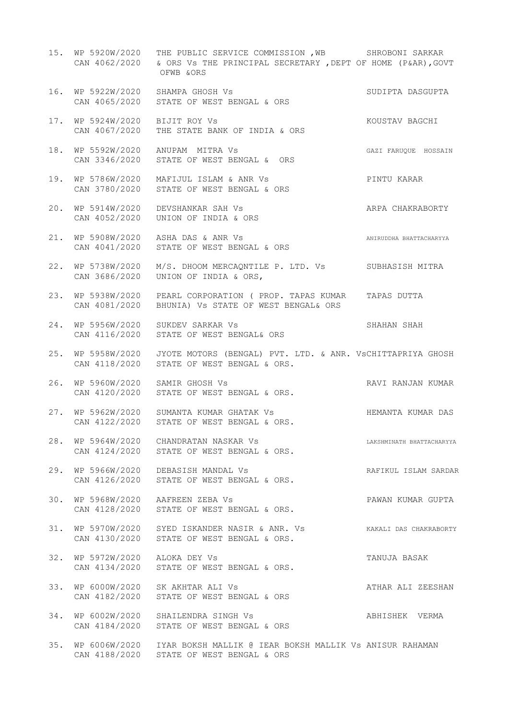|     |                                                 | 15. WP 5920W/2020 THE PUBLIC SERVICE COMMISSION , WB SHROBONI SARKAR<br>CAN 4062/2020 & ORS Vs THE PRINCIPAL SECRETARY, DEPT OF HOME (P&AR), GOVT<br>OFWB &ORS |                           |
|-----|-------------------------------------------------|----------------------------------------------------------------------------------------------------------------------------------------------------------------|---------------------------|
|     | CAN 4065/2020                                   | SHAMFA GHOSH VS<br>STATE OF WEST BENGAL & ORS<br>16. WP 5922W/2020 SHAMPA GHOSH Vs                                                                             | SUDIPTA DASGUPTA          |
|     | 17. WP 5924W/2020<br>CAN 4067/2020              | THE STATE BANK OF INDIA & ORS<br>BIJIT ROY Vs                                                                                                                  | KOUSTAV BAGCHI            |
|     |                                                 | 18. WP 5592W/2020 ANUPAM MITRA Vs<br>CAN 3346/2020 STATE OF WEST BENGAL & ORS                                                                                  | GAZI FARUQUE HOSSAIN      |
|     | 19. WP 5786W/2020<br>CAN 3780/2020              | MAFIJUL ISLAM & ANR Vs<br>STATE OF WEST BENGAL & ORS                                                                                                           | PINTU KARAR               |
| 20. | WP 5914W/2020<br>CAN 4052/2020                  | DEVSHANKAR SAH Vs<br>UNION OF INDIA & ORS                                                                                                                      | ARPA CHAKRABORTY          |
| 21. | WP 5908W/2020<br>CAN 4041/2020                  | ASHA DAS & ANR Vs<br>STATE OF WEST BENGAL & ORS                                                                                                                | ANIRUDDHA BHATTACHARYYA   |
| 22. | WP 5738W/2020<br>CAN 3686/2020                  | M/S. DHOOM MERCAQNTILE P. LTD. Vs SUBHASISH MITRA<br>UNION OF INDIA & ORS,                                                                                     |                           |
| 23. | CAN 4081/2020                                   | WP 5938W/2020 PEARL CORPORATION (PROP. TAPAS KUMAR TAPAS DUTTA<br>BHUNIA) VS STATE OF WEST BENGAL& ORS                                                         |                           |
|     | 24. WP 5956W/2020<br>CAN 4116/2020              | SUKDEV SARKAR Vs<br>STATE OF WEST BENGAL& ORS                                                                                                                  | SHAHAN SHAH               |
| 25. | CAN 4118/2020                                   | WP 5958W/2020 JYOTE MOTORS (BENGAL) PVT. LTD. & ANR. VSCHITTAPRIYA GHOSH<br>STATE OF WEST BENGAL & ORS.                                                        |                           |
| 26. | CAN 4120/2020                                   | SAMIR GHOSH Vs<br>STATE OF WEST BENGAL & ORS.<br>WP 5960W/2020 SAMIR GHOSH Vs                                                                                  | RAVI RANJAN KUMAR         |
|     |                                                 | 27. WP 5962W/2020 SUMANTA KUMAR GHATAK Vs<br>CAN 4122/2020 STATE OF WEST BENGAL & ORS.                                                                         | HEMANTA KUMAR DAS         |
|     |                                                 | 28. WP 5964W/2020 CHANDRATAN NASKAR Vs<br>CAN 4124/2020 STATE OF WEST BENGAL & ORS.                                                                            | LAKSHMINATH BHATTACHARYYA |
|     |                                                 | 29. WP 5966W/2020 DEBASISH MANDAL Vs<br>CAN 4126/2020 STATE OF WEST BENGAL & ORS.                                                                              | RAFIKUL ISLAM SARDAR      |
|     |                                                 | 30. WP 5968W/2020 AAFREEN ZEBA Vs<br>CAN 4128/2020 STATE OF WEST BENGAL & ORS.                                                                                 | PAWAN KUMAR GUPTA         |
|     |                                                 | 31. WP 5970W/2020 SYED ISKANDER NASIR & ANR. Vs KAKALI DAS CHAKRABORTY<br>CAN 4130/2020 STATE OF WEST BENGAL & ORS.                                            |                           |
|     | 32. WP 5972W/2020 ALOKA DEY Vs<br>CAN 4134/2020 | STATE OF WEST BENGAL & ORS.                                                                                                                                    | TANUJA BASAK              |
|     |                                                 | 33. WP 6000W/2020 SK AKHTAR ALI Vs<br>CAN 4182/2020 STATE OF WEST BENGAL & ORS                                                                                 | ATHAR ALI ZEESHAN         |
|     |                                                 | 34. WP 6002W/2020 SHAILENDRA SINGH Vs<br>CAN 4184/2020 STATE OF WEST BENGAL & ORS                                                                              | ABHISHEK VERMA            |
|     |                                                 | 35. WP 6006W/2020 IYAR BOKSH MALLIK @ IEAR BOKSH MALLIK Vs ANISUR RAHAMAN                                                                                      |                           |

CAN 4188/2020 STATE OF WEST BENGAL & ORS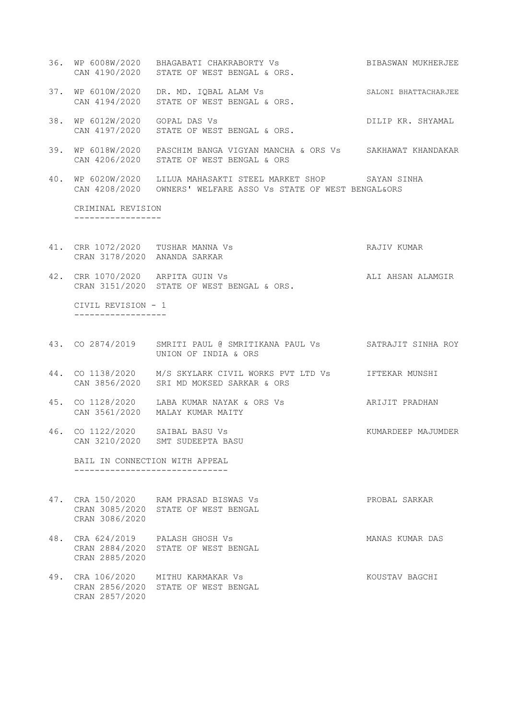- 36. WP 6008W/2020 BHAGABATI CHAKRABORTY Vs BIBASWAN MUKHERJEE CAN 4190/2020 STATE OF WEST BENGAL & ORS.
- 37. WP 6010W/2020 DR. MD. IQBAL ALAM Vs SALONI BHATTACHARJEE CAN 4194/2020 STATE OF WEST BENGAL & ORS.
- 38. WP 6012W/2020 GOPAL DAS Vs CORES CONSUMING THE DILIP KR. SHYAMAL CAN 4197/2020 STATE OF WEST BENGAL & ORS.
- 39. WP 6018W/2020 PASCHIM BANGA VIGYAN MANCHA & ORS Vs SAKHAWAT KHANDAKAR CAN 4206/2020 STATE OF WEST BENGAL & ORS
- 40. WP 6020W/2020 LILUA MAHASAKTI STEEL MARKET SHOP SAYAN SINHA CAN 4208/2020 OWNERS' WELFARE ASSO Vs STATE OF WEST BENGAL&ORS

 CRIMINAL REVISION -----------------

- 41. CRR 1072/2020 TUSHAR MANNA Vs RAJIV KUMAR CRAN 3178/2020 ANANDA SARKAR
- 42. CRR 1070/2020 ARPITA GUIN Vs ALI AHSAN ALAMGIR CRAN 3151/2020 STATE OF WEST BENGAL & ORS.

 CIVIL REVISION - 1 ------------------

- 43. CO 2874/2019 SMRITI PAUL @ SMRITIKANA PAUL Vs SATRAJIT SINHA ROY UNION OF INDIA & ORS
- 44. CO 1138/2020 M/S SKYLARK CIVIL WORKS PVT LTD Vs IFTEKAR MUNSHI CAN 3856/2020 SRI MD MOKSED SARKAR & ORS
- 45. CO 1128/2020 LABA KUMAR NAYAK & ORS Vs ARIJIT PRADHAN CAN 3561/2020 MALAY KUMAR MAITY
- 46. CO 1122/2020 SAIBAL BASU Vs KUMARDEEP MAJUMDER CAN 3210/2020 SMT SUDEEPTA BASU

 BAIL IN CONNECTION WITH APPEAL ------------------------------

- 47. CRA 150/2020 RAM PRASAD BISWAS Vs PROBAL SARKAR CRAN 3085/2020 STATE OF WEST BENGAL CRAN 3086/2020
- 48. CRA 624/2019 PALASH GHOSH Vs MANAS KUMAR DAS CRAN 2884/2020 STATE OF WEST BENGAL CRAN 2885/2020
- 49. CRA 106/2020 MITHU KARMAKAR Vs KOUSTAV BAGCHI CRAN 2856/2020 STATE OF WEST BENGAL CRAN 2857/2020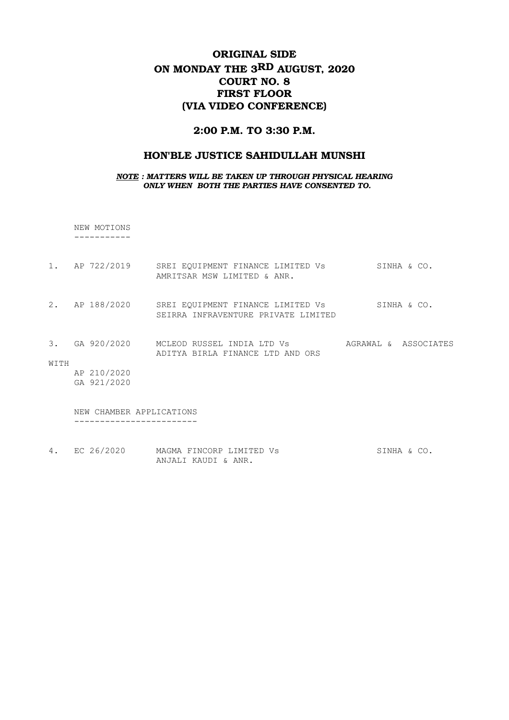# ORIGINAL SIDE ON MONDAY THE 3RD AUGUST, 2020 COURT NO. 8 FIRST FLOOR (VIA VIDEO CONFERENCE)

### 2:00 P.M. TO 3:30 P.M.

### HON'BLE JUSTICE SAHIDULLAH MUNSHI

*NOTE : MATTERS WILL BE TAKEN UP THROUGH PHYSICAL HEARING ONLY WHEN BOTH THE PARTIES HAVE CONSENTED TO.*

NEW MOTIONS -----------

- 1. AP 722/2019 SREI EQUIPMENT FINANCE LIMITED Vs SINHA & CO. AMRITSAR MSW LIMITED & ANR.
- 2. AP 188/2020 SREI EOUIPMENT FINANCE LIMITED Vs SINHA & CO. SEIRRA INFRAVENTURE PRIVATE LIMITED
- 3. GA 920/2020 MCLEOD RUSSEL INDIA LTD Vs AGRAWAL & ASSOCIATES ADITYA BIRLA FINANCE LTD AND ORS
- WITH

 AP 210/2020 GA 921/2020

 NEW CHAMBER APPLICATIONS ------------------------

4. EC 26/2020 MAGMA FINCORP LIMITED Vs SINHA & CO. ANJALI KAUDI & ANR.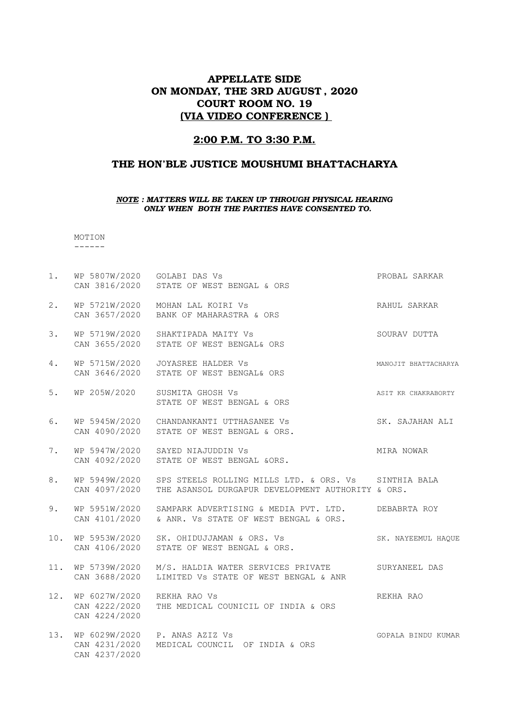### APPELLATE SIDE ON MONDAY, THE 3RD AUGUST , 2020 COURT ROOM NO. 19 (VIA VIDEO CONFERENCE )

### 2:00 P.M. TO 3:30 P.M.

### THE HON'BLE JUSTICE MOUSHUMI BHATTACHARYA

#### *NOTE : MATTERS WILL BE TAKEN UP THROUGH PHYSICAL HEARING ONLY WHEN BOTH THE PARTIES HAVE CONSENTED TO.*

 MOTION ------

CAN 4237/2020

1. WP 5807W/2020 GOLABI DAS Vs PROBAL SARKAR CAN 3816/2020 STATE OF WEST BENGAL & ORS 2. WP 5721W/2020 MOHAN LAL KOIRI Vs CHANN HALL SARKAR CAN 3657/2020 BANK OF MAHARASTRA & ORS 3. WP 5719W/2020 SHAKTIPADA MAITY Vs SOURAV DUTTA CAN 3655/2020 STATE OF WEST BENGAL& ORS 4. WP 5715W/2020 JOYASREE HALDER Vs **MANOJIT BEATTACHARYA**  CAN 3646/2020 STATE OF WEST BENGAL& ORS 5. WP 205W/2020 SUSMITA GHOSH Vs **ASIT KR CHAKRABORTY**  STATE OF WEST BENGAL & ORS 6. WP 5945W/2020 CHANDANKANTI UTTHASANEE Vs SK. SAJAHAN ALI CAN 4090/2020 STATE OF WEST BENGAL & ORS. 7. WP 5947W/2020 SAYED NIAJUDDIN Vs **MIRA NOWAR**  CAN 4092/2020 STATE OF WEST BENGAL &ORS. 8. WP 5949W/2020 SPS STEELS ROLLING MILLS LTD. & ORS. Vs SINTHIA BALA CAN 4097/2020 THE ASANSOL DURGAPUR DEVELOPMENT AUTHORITY & ORS. 9. WP 5951W/2020 SAMPARK ADVERTISING & MEDIA PVT. LTD. DEBABRTA ROY CAN 4101/2020 & ANR. Vs STATE OF WEST BENGAL & ORS. 10. WP 5953W/2020 SK. OHIDUJJAMAN & ORS. Vs SK. NAYEEMUL HAOUE CAN 4106/2020 STATE OF WEST BENGAL & ORS. 11. WP 5739W/2020 M/S. HALDIA WATER SERVICES PRIVATE SURYANEEL DAS CAN 3688/2020 LIMITED Vs STATE OF WEST BENGAL & ANR 12. WP 6027W/2020 REKHA RAO Vs REKHA RAO CAN 4222/2020 THE MEDICAL COUNICIL OF INDIA & ORS CAN 4224/2020 13. WP 6029W/2020 P. ANAS AZIZ Vs SOPALA BINDU KUMAR CAN 4231/2020 MEDICAL COUNCIL OF INDIA & ORS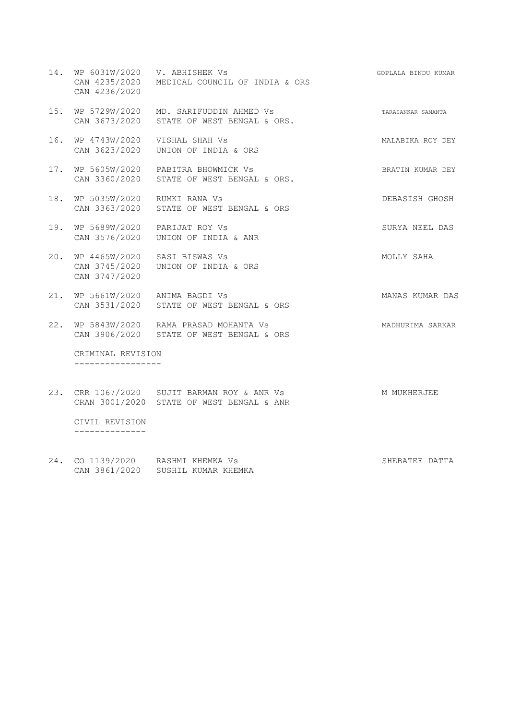- 14. WP 6031W/2020 V. ABHISHEK Vs SOPLALA BINDU KUMAR CAN 4235/2020 MEDICAL COUNCIL OF INDIA & ORS CAN 4236/2020 15. WP 5729W/2020 MD. SARIFUDDIN AHMED Vs TARASANKAR SAMANTA
- CAN 3673/2020 STATE OF WEST BENGAL & ORS.
- 16. WP 4743W/2020 VISHAL SHAH Vs MALABIKA ROY DEY CAN 3623/2020 UNION OF INDIA & ORS
- 17. WP 5605W/2020 PABITRA BHOWMICK Vs SHATIN KUMAR DEY CAN 3360/2020 STATE OF WEST BENGAL & ORS.
- 18. WP 5035W/2020 RUMKI RANA Vs DEBASISH GHOSH CAN 3363/2020 STATE OF WEST BENGAL & ORS
- 19. WP 5689W/2020 PARIJAT ROY Vs SURYA NEEL DAS CAN 3576/2020 UNION OF INDIA & ANR
- 20. WP 4465W/2020 SASI BISWAS Vs MOLLY SAHA CAN 3745/2020 UNION OF INDIA & ORS CAN 3747/2020
- 21. WP 5661W/2020 ANIMA BAGDI Vs MANAS KUMAR DAS CAN 3531/2020 STATE OF WEST BENGAL & ORS
- 22. WP 5843W/2020 RAMA PRASAD MOHANTA Vs MADHURIMA SARKAR CAN 3906/2020 STATE OF WEST BENGAL & ORS

 CRIMINAL REVISION -----------------

- 23. CRR 1067/2020 SUJIT BARMAN ROY & ANR Vs MOKHERJEE CRAN 3001/2020 STATE OF WEST BENGAL & ANR CIVIL REVISION --------------
- 24. CO 1139/2020 RASHMI KHEMKA Vs SHEBATEE DATTA CAN 3861/2020 SUSHIL KUMAR KHEMKA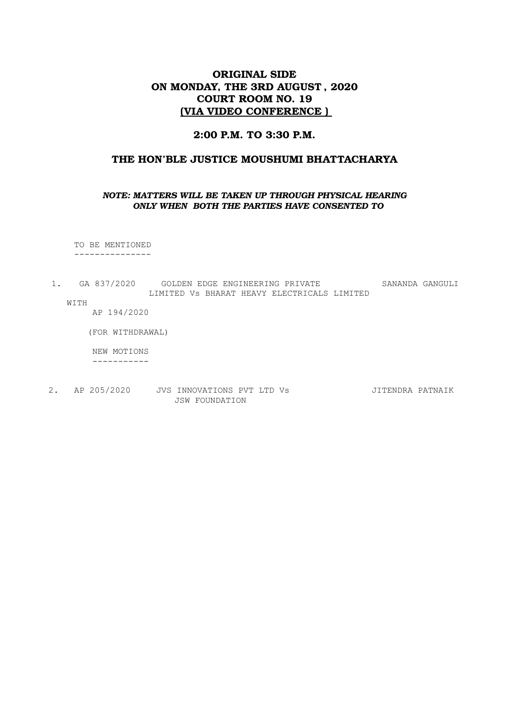## ORIGINAL SIDE ON MONDAY, THE 3RD AUGUST , 2020 COURT ROOM NO. 19 (VIA VIDEO CONFERENCE )

### 2:00 P.M. TO 3:30 P.M.

### THE HON'BLE JUSTICE MOUSHUMI BHATTACHARYA

#### *NOTE: MATTERS WILL BE TAKEN UP THROUGH PHYSICAL HEARING ONLY WHEN BOTH THE PARTIES HAVE CONSENTED TO*

 TO BE MENTIONED ---------------

1. GA 837/2020 GOLDEN EDGE ENGINEERING PRIVATE SANANDA GANGULI LIMITED Vs BHARAT HEAVY ELECTRICALS LIMITED WITH

AP 194/2020

(FOR WITHDRAWAL)

NEW MOTIONS

-----------

2. AP 205/2020 JVS INNOVATIONS PVT LTD Vs JITENDRA PATNAIK JSW FOUNDATION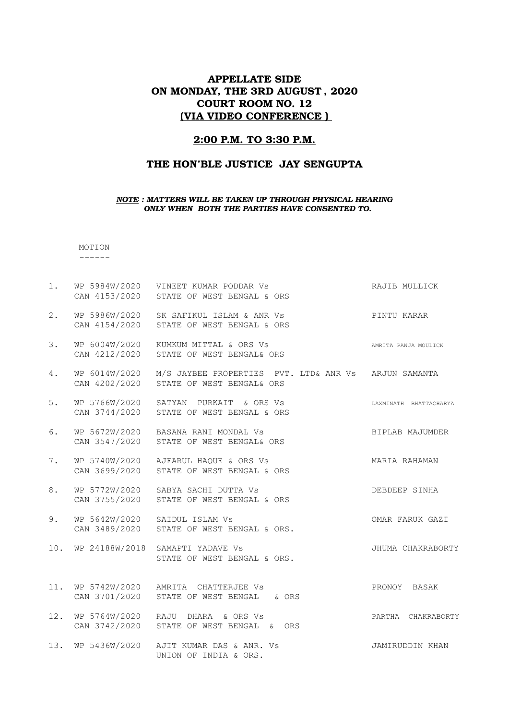## APPELLATE SIDE ON MONDAY, THE 3RD AUGUST , 2020 COURT ROOM NO. 12 (VIA VIDEO CONFERENCE )

### 2:00 P.M. TO 3:30 P.M.

### THE HON'BLE JUSTICE JAY SENGUPTA

#### *NOTE : MATTERS WILL BE TAKEN UP THROUGH PHYSICAL HEARING ONLY WHEN BOTH THE PARTIES HAVE CONSENTED TO.*

MOTION ------

| 1.  |                                | WP 5984W/2020 VINEET KUMAR PODDAR Vs<br>CAN 4153/2020 STATE OF WEST BENGAL & ORS                | RAJIB MULLICK          |
|-----|--------------------------------|-------------------------------------------------------------------------------------------------|------------------------|
| 2.  | WP 5986W/2020<br>CAN 4154/2020 | SK SAFIKUL ISLAM & ANR Vs<br>STATE OF WEST BENGAL & ORS                                         | PINTU KARAR            |
| 3.  | WP 6004W/2020<br>CAN 4212/2020 | KUMKUM MITTAL & ORS Vs<br>STATE OF WEST BENGAL& ORS                                             | AMRITA PANJA MOULICK   |
| 4.  | CAN 4202/2020                  | WP 6014W/2020 M/S JAYBEE PROPERTIES PVT. LTD& ANR Vs ARJUN SAMANTA<br>STATE OF WEST BENGAL& ORS |                        |
| 5.  | WP 5766W/2020                  | SATYAN PURKAIT & ORS Vs<br>CAN 3744/2020 STATE OF WEST BENGAL & ORS                             | LAXMINATH BHATTACHARYA |
| 6.  |                                | WP 5672W/2020 BASANA RANI MONDAL Vs<br>CAN 3547/2020 STATE OF WEST BENGAL& ORS                  | BIPLAB MAJUMDER        |
| 7.  | CAN 3699/2020                  | WP 5740W/2020 AJFARUL HAQUE & ORS Vs<br>STATE OF WEST BENGAL & ORS                              | MARIA RAHAMAN          |
| 8.  | CAN 3755/2020                  | WP 5772W/2020 SABYA SACHI DUTTA VS<br>STATE OF WEST BENGAL & ORS                                | DEBDEEP SINHA          |
| 9.  |                                | WP 5642W/2020 SAIDUL ISLAM Vs<br>CAN 3489/2020 STATE OF WEST BENGAL & ORS.                      | OMAR FARUK GAZI        |
| 10. |                                | WP 24188W/2018 SAMAPTI YADAVE Vs<br>STATE OF WEST BENGAL & ORS.                                 | JHUMA CHAKRABORTY      |
| 11. | CAN 3701/2020                  | WP 5742W/2020 AMRITA CHATTERJEE Vs<br>STATE OF WEST BENGAL & ORS                                | PRONOY BASAK           |
| 12. |                                | WP 5764W/2020 RAJU DHARA & ORS Vs<br>CAN 3742/2020 STATE OF WEST BENGAL & ORS                   | PARTHA CHAKRABORTY     |
| 13. |                                | WP 5436W/2020 AJIT KUMAR DAS & ANR. Vs<br>UNION OF INDIA & ORS.                                 | JAMIRUDDIN KHAN        |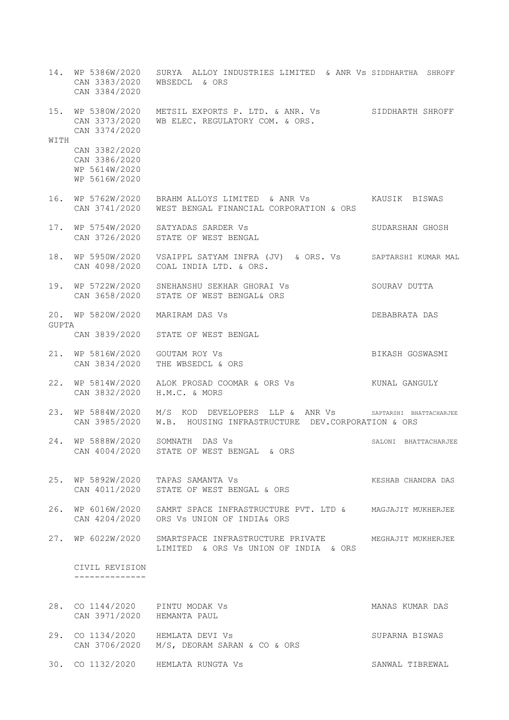- 14. WP 5386W/2020 SURYA ALLOY INDUSTRIES LIMITED & ANR Vs SIDDHARTHA SHROFF CAN 3383/2020 WBSEDCL & ORS CAN 3384/2020 15. WP 5380W/2020 METSIL EXPORTS P. LTD. & ANR. Vs SIDDHARTH SHROFF CAN 3373/2020 WB ELEC. REGULATORY COM. & ORS. CAN 3374/2020 WITH CAN 3382/2020 CAN 3386/2020 WP 5614W/2020 WP 5616W/2020 16. WP 5762W/2020 BRAHM ALLOYS LIMITED & ANR Vs KAUSIK BISWAS CAN 3741/2020 WEST BENGAL FINANCIAL CORPORATION & ORS 17. WP 5754W/2020 SATYADAS SARDER Vs SUDARSHAN GHOSH CAN 3726/2020 STATE OF WEST BENGAL 18. WP 5950W/2020 VSAIPPL SATYAM INFRA (JV) & ORS. Vs SAPTARSHI KUMAR MAL CAN 4098/2020 COAL INDIA LTD. & ORS. 19. WP 5722W/2020 SNEHANSHU SEKHAR GHORAI Vs SOURAV DUTTA CAN 3658/2020 STATE OF WEST BENGAL& ORS 20. WP 5820W/2020 MARIRAM DAS Vs DEBABRATA DAS GUPTA CAN 3839/2020 STATE OF WEST BENGAL 21. WP 5816W/2020 GOUTAM ROY Vs SERVE BIKASH GOSWASMI CAN 3834/2020 THE WBSEDCL & ORS 22. WP 5814W/2020 ALOK PROSAD COOMAR & ORS Vs KUNAL GANGULY CAN 3832/2020 H.M.C. & MORS 23. WP 5884W/2020 M/S KOD DEVELOPERS LLP & ANR Vs SAPTARSHI BHATTACHARJEE CAN 3985/2020 W.B. HOUSING INFRASTRUCTURE DEV.CORPORATION & ORS 24. WP 5888W/2020 SOMNATH DAS Vs SALONI BHATTACHARJEE CAN 4004/2020 STATE OF WEST BENGAL & ORS 25. WP 5892W/2020 TAPAS SAMANTA Vs **KESHAB CHANDRA DAS**  CAN 4011/2020 STATE OF WEST BENGAL & ORS 26. WP 6016W/2020 SAMRT SPACE INFRASTRUCTURE PVT. LTD & MAGJAJIT MUKHERJEE CAN 4204/2020 ORS Vs UNION OF INDIA& ORS 27. WP 6022W/2020 SMARTSPACE INFRASTRUCTURE PRIVATE MEGHAJIT MUKHERJEE LIMITED & ORS Vs UNION OF INDIA & ORS CIVIL REVISION -------------- 28. CO 1144/2020 PINTU MODAK Vs **MANAS KUMAR DAS** CAN 3971/2020 HEMANTA PAUL
- 29. CO 1134/2020 HEMLATA DEVI Vs SUPARNA BISWAS CAN 3706/2020 M/S, DEORAM SARAN & CO & ORS
- 30. CO 1132/2020 HEMLATA RUNGTA Vs SANWAL TIBREWAL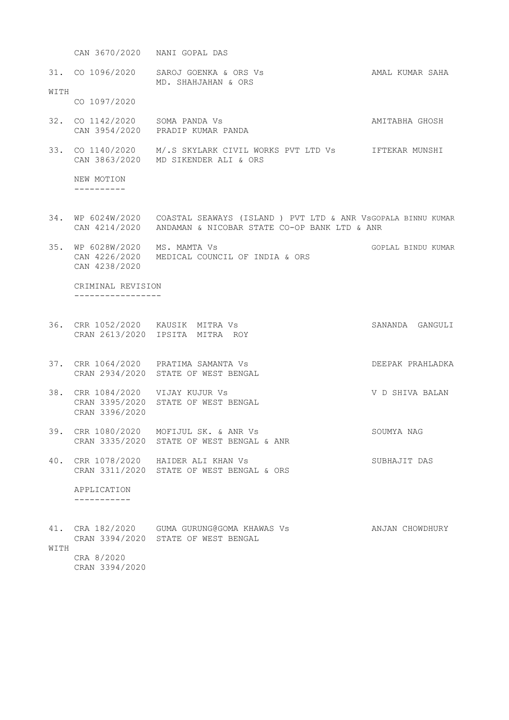CAN 3670/2020 NANI GOPAL DAS

31. CO 1096/2020 SAROJ GOENKA & ORS Vs AMAL KUMAR SAHA MD. SHAHJAHAN & ORS WITH

CO 1097/2020

- 32. CO 1142/2020 SOMA PANDA Vs AMITABHA GHOSH CAN 3954/2020 PRADIP KUMAR PANDA
- 33. CO 1140/2020 M/.S SKYLARK CIVIL WORKS PVT LTD Vs IFTEKAR MUNSHI CAN 3863/2020 MD SIKENDER ALI & ORS

 NEW MOTION ----------

- 34. WP 6024W/2020 COASTAL SEAWAYS (ISLAND ) PVT LTD & ANR VsGOPALA BINNU KUMAR CAN 4214/2020 ANDAMAN & NICOBAR STATE CO-OP BANK LTD & ANR
- 35. WP 6028W/2020 MS. MAMTA Vs GOPLAL BINDU KUMAR CAN 4226/2020 MEDICAL COUNCIL OF INDIA & ORS CAN 4238/2020

 CRIMINAL REVISION -----------------

- 36. CRR 1052/2020 KAUSIK MITRA Vs SANANDA GANGULI CRAN 2613/2020 IPSITA MITRA ROY
- 37. CRR 1064/2020 PRATIMA SAMANTA Vs DEEPAK PRAHLADKA CRAN 2934/2020 STATE OF WEST BENGAL
- 38. CRR 1084/2020 VIJAY KUJUR Vs V D SHIVA BALAN CRAN 3395/2020 STATE OF WEST BENGAL CRAN 3396/2020
- 39. CRR 1080/2020 MOFIJUL SK. & ANR Vs SOUMYA NAG CRAN 3335/2020 STATE OF WEST BENGAL & ANR
- 40. CRR 1078/2020 HAIDER ALI KHAN Vs SUBHAJIT DAS CRAN 3311/2020 STATE OF WEST BENGAL & ORS

 APPLICATION -----------

41. CRA 182/2020 GUMA GURUNG@GOMA KHAWAS Vs ANJAN CHOWDHURY CRAN 3394/2020 STATE OF WEST BENGAL **WITH**  CRA 8/2020 CRAN 3394/2020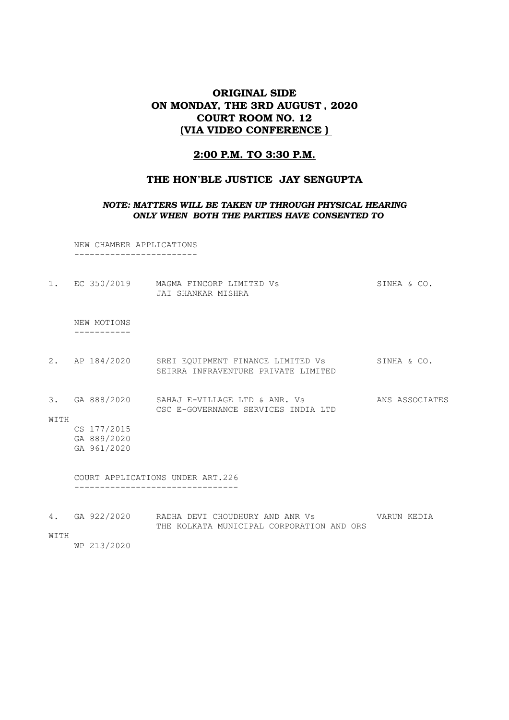# ORIGINAL SIDE ON MONDAY, THE 3RD AUGUST , 2020 COURT ROOM NO. 12 (VIA VIDEO CONFERENCE )

## 2:00 P.M. TO 3:30 P.M.

## THE HON'BLE JUSTICE JAY SENGUPTA

#### *NOTE: MATTERS WILL BE TAKEN UP THROUGH PHYSICAL HEARING ONLY WHEN BOTH THE PARTIES HAVE CONSENTED TO*

 NEW CHAMBER APPLICATIONS ------------------------

| $1$ . |                                           | EC 350/2019 MAGMA FINCORP LIMITED Vs<br>JAI SHANKAR MISHRA                                   | SINHA & CO.    |
|-------|-------------------------------------------|----------------------------------------------------------------------------------------------|----------------|
|       | NEW MOTIONS                               |                                                                                              |                |
|       |                                           | 2. AP 184/2020 SREI EQUIPMENT FINANCE LIMITED Vs<br>SEIRRA INFRAVENTURE PRIVATE LIMITED      | SINHA & CO.    |
| WITH  |                                           | 3. GA 888/2020 SAHAJ E-VILLAGE LTD & ANR. VS<br>CSC E-GOVERNANCE SERVICES INDIA LTD          | ANS ASSOCIATES |
|       | CS 177/2015<br>GA 889/2020<br>GA 961/2020 |                                                                                              |                |
|       |                                           | COURT APPLICATIONS UNDER ART.226                                                             |                |
| 4.    |                                           | GA 922/2020     RADHA DEVI CHOUDHURY AND ANR Vs<br>THE KOLKATA MUNICIPAL CORPORATION AND ORS | VARUN KEDIA    |

WITH

WP 213/2020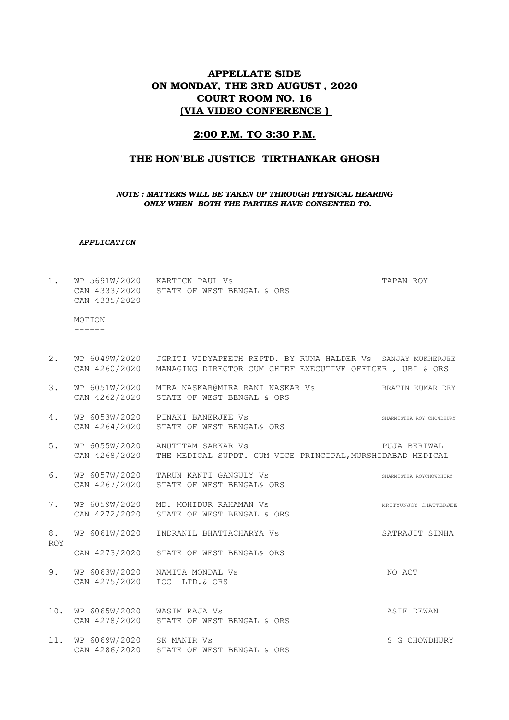## APPELLATE SIDE ON MONDAY, THE 3RD AUGUST , 2020 COURT ROOM NO. 16 (VIA VIDEO CONFERENCE )

#### 2:00 P.M. TO 3:30 P.M.

### THE HON'BLE JUSTICE TIRTHANKAR GHOSH

#### *NOTE : MATTERS WILL BE TAKEN UP THROUGH PHYSICAL HEARING ONLY WHEN BOTH THE PARTIES HAVE CONSENTED TO.*

*APPLICATION*

-----------

1. WP 5691W/2020 KARTICK PAUL Vs TAPAN ROY CAN 4333/2020 STATE OF WEST BENGAL & ORS CAN 4335/2020

 MOTION ------

- 2. WP 6049W/2020 JGRITI VIDYAPEETH REPTD. BY RUNA HALDER Vs SANJAY MUKHERJEE CAN 4260/2020 MANAGING DIRECTOR CUM CHIEF EXECUTIVE OFFICER , UBI & ORS
- 3. WP 6051W/2020 MIRA NASKAR@MIRA RANI NASKAR Vs BRATIN KUMAR DEY CAN 4262/2020 STATE OF WEST BENGAL & ORS
- 4. WP 6053W/2020 PINAKI BANERJEE Vs SHARMISTHA ROY CHOWDHURY CAN 4264/2020 STATE OF WEST BENGAL& ORS
- 5. WP 6055W/2020 ANUTTTAM SARKAR Vs **PUJA BERIWAL** CAN 4268/2020 THE MEDICAL SUPDT. CUM VICE PRINCIPAL,MURSHIDABAD MEDICAL
- 6. WP 6057W/2020 TARUN KANTI GANGULY Vs SHARMISTHA ROYCHOWDHURY CAN 4267/2020 STATE OF WEST BENGAL& ORS
- 7. WP 6059W/2020 MD. MOHIDUR RAHAMAN Vs MRITYUNJOY CHATTERJEE CAN 4272/2020 STATE OF WEST BENGAL & ORS

8. WP 6061W/2020 INDRANIL BHATTACHARYA Vs SATRAJIT SINHA ROY

- CAN 4273/2020 STATE OF WEST BENGAL& ORS
- 9. WP 6063W/2020 NAMITA MONDAL Vs Sand Control and ACT CAN 4275/2020 IOC LTD.& ORS
- 10. WP 6065W/2020 WASIM RAJA Vs **ASIF DEWAN** CAN 4278/2020 STATE OF WEST BENGAL & ORS
- 11. WP 6069W/2020 SK MANIR Vs SC CHOWDHURY CAN 4286/2020 STATE OF WEST BENGAL & ORS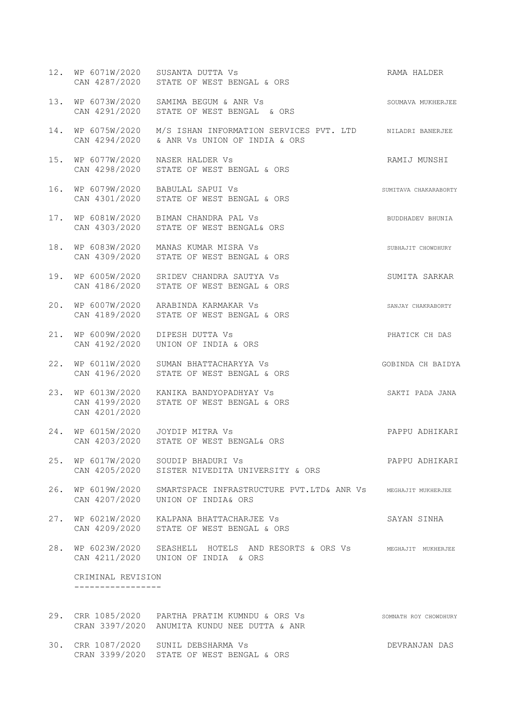| 12. |                   | WP 6071W/2020 SUSANTA DUTTA Vs<br>CAN 4287/2020 STATE OF WEST BENGAL & ORS                                            | RAMA HALDER           |
|-----|-------------------|-----------------------------------------------------------------------------------------------------------------------|-----------------------|
| 13. |                   | WP 6073W/2020 SAMIMA BEGUM & ANR Vs<br>CAN 4291/2020 STATE OF WEST BENGAL & ORS                                       | SOUMAVA MUKHERJEE     |
| 14. |                   | WP 6075W/2020 M/S ISHAN INFORMATION SERVICES PVT. LTD NILADRI BANERJEE<br>CAN 4294/2020 & ANR Vs UNION OF INDIA & ORS |                       |
| 15. |                   | WP 6077W/2020 NASER HALDER Vs<br>CAN 4298/2020 STATE OF WEST BENGAL & ORS                                             | RAMIJ MUNSHI          |
| 16. |                   | WP 6079W/2020 BABULAL SAPUI Vs<br>CAN 4301/2020 STATE OF WEST BENGAL & ORS                                            | SUMITAVA CHAKARABORTY |
| 17. |                   | WP 6081W/2020 BIMAN CHANDRA PAL Vs<br>CAN 4303/2020 STATE OF WEST BENGAL& ORS                                         | BUDDHADEV BHUNIA      |
| 18. |                   | WP 6083W/2020 MANAS KUMAR MISRA Vs<br>CAN 4309/2020 STATE OF WEST BENGAL & ORS                                        | SUBHAJIT CHOWDHURY    |
| 19. |                   | WP 6005W/2020 SRIDEV CHANDRA SAUTYA Vs<br>CAN 4186/2020 STATE OF WEST BENGAL & ORS                                    | SUMITA SARKAR         |
| 20. |                   | WP 6007W/2020 ARABINDA KARMAKAR Vs<br>CAN 4189/2020 STATE OF WEST BENGAL & ORS                                        | SANJAY CHAKRABORTY    |
| 21. | CAN 4192/2020     | WP 6009W/2020 DIPESH DUTTA Vs<br>UNION OF INDIA & ORS                                                                 | PHATICK CH DAS        |
| 22. | CAN 4196/2020     | WP 6011W/2020 SUMAN BHATTACHARYYA Vs<br>STATE OF WEST BENGAL & ORS                                                    | GOBINDA CH BAIDYA     |
| 23. | CAN 4201/2020     | WP 6013W/2020 KANIKA BANDYOPADHYAY Vs<br>CAN 4199/2020 STATE OF WEST BENGAL & ORS                                     | SAKTI PADA JANA       |
|     |                   | 24. WP 6015W/2020    JOYDIP MITRA Vs<br>CAN 4203/2020 STATE OF WEST BENGAL& ORS                                       | PAPPU ADHIKARI        |
|     |                   | 25. WP 6017W/2020 SOUDIP BHADURI Vs<br>CAN 4205/2020 SISTER NIVEDITA UNIVERSITY & ORS                                 | PAPPU ADHIKARI        |
|     |                   | 26. WP 6019W/2020 SMARTSPACE INFRASTRUCTURE PVT.LTD& ANR Vs MEGHAJIT MUKHERJEE<br>CAN 4207/2020 UNION OF INDIA& ORS   |                       |
|     |                   | 27. WP 6021W/2020 KALPANA BHATTACHARJEE Vs<br>CAN 4209/2020 STATE OF WEST BENGAL & ORS                                | SAYAN SINHA           |
| 28. |                   | WP 6023W/2020 SEASHELL HOTELS AND RESORTS & ORS VS MEGHAJIT MUKHERJEE<br>CAN 4211/2020    UNION OF INDIA & ORS        |                       |
|     | CRIMINAL REVISION |                                                                                                                       |                       |
|     |                   |                                                                                                                       |                       |
| 29. |                   | CRR 1085/2020 PARTHA PRATIM KUMNDU & ORS Vs                                                                           | SOMNATH ROY CHOWDHURY |

|  | 30. CRR 1087/2020 SUNIL DEBSHARMA Vs      | DEVRANJAN DAS |  |
|--|-------------------------------------------|---------------|--|
|  | CRAN 3399/2020 STATE OF WEST BENGAL & ORS |               |  |

CRAN 3397/2020 ANUMITA KUNDU NEE DUTTA & ANR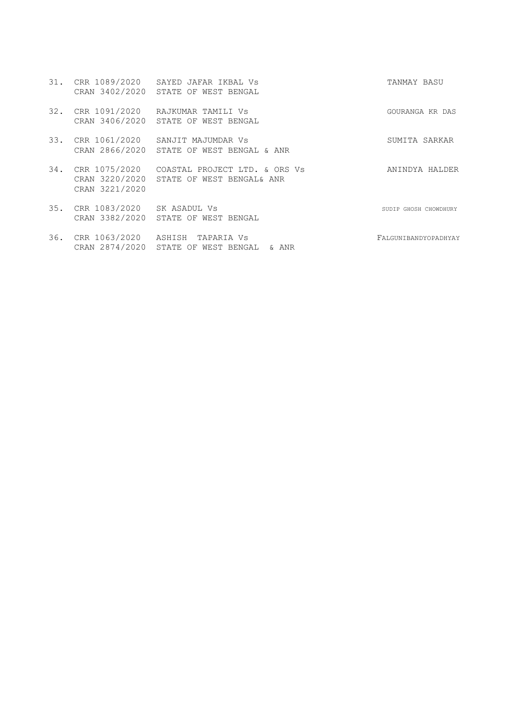| 31. | CRR 1089/2020<br>CRAN 3402/2020                   | SAYED JAFAR IKBAL VS<br>STATE OF WEST BENGAL                                      | TANMAY BASU           |
|-----|---------------------------------------------------|-----------------------------------------------------------------------------------|-----------------------|
| 32. | CRR 1091/2020<br>CRAN 3406/2020                   | RAJKUMAR TAMILI Vs<br>STATE OF WEST BENGAL                                        | GOURANGA KR DAS       |
|     |                                                   | 33. CRR 1061/2020 SANJIT MAJUMDAR Vs<br>CRAN 2866/2020 STATE OF WEST BENGAL & ANR | SUMITA SARKAR         |
| 34. | CRR 1075/2020<br>CRAN 3220/2020<br>CRAN 3221/2020 | COASTAL PROJECT LTD. & ORS Vs<br>STATE OF WEST BENGAL& ANR                        | ANINDYA HALDER        |
| 35. | CRR 1083/2020 SK ASADUL Vs                        | CRAN 3382/2020 STATE OF WEST BENGAL                                               | SUDIP GHOSH CHOWDHURY |

36. CRR 1063/2020 ASHISH TAPARIA Vs FALGUNIBANDYOPADHYAY CRAN 2874/2020 STATE OF WEST BENGAL & ANR